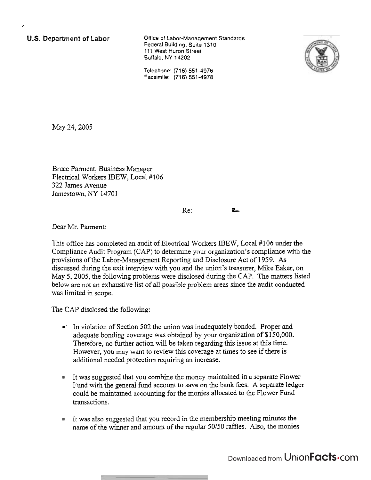**I** 

U.S. Department of Labor **Department** of Labor **Cellens** Office of Labor-Management Standards Federal Building, Suite 1310 111 West Huron Street Buffalo, NY 14202



Telephone: (716) 551-4976 Facsimile: (716) 551-4978

May 24,2005

Bruce Parment, Business Manager Electrical Workers IBEW, Local #I06 322 James Avenue Jamestown, NY 14701

Re: **ZI** 

Dear Mr. Parment:

This office has completed an audit of Electrical Workers IBEW, Local #106 under the Compliance Audit Program (CAP) to determine your organization's compliance with the provisions of the Labor-Management Reporting and Disclosure Act of 1959. As discussed during the exit interview with you and the union's treasurer, Mike Eaker, on May 5,2005, the following problems were disclosed during the CAP. The matters listed below are not an exhaustive list of all possible problem areas since the audit conducted was limited in scope.

The CAP disclosed the following:

- **a'** In violation of Section 502 the union was inadequately bonded. Proper and adequate bonding coverage was obtained by your organization of \$150,000. Therefore, no further action will be taken regarding this issue at this time. However, you may want to review this coverage at times to see if there is additional needed protection requiring an increase.
- It was suggested that you combine the money maintained in a separate Flower Fund with the general fund account to save on the bank fees. A separate ledger could be maintained accounting for the monies allocated to the Flower Fund transactions.
- It was also suggested that you record in the membership meeting minutes the  $\blacksquare$ name of the winner and amount of the regular 50/50 raffles. Also, the monies

Downloaded from UnionFacts.com